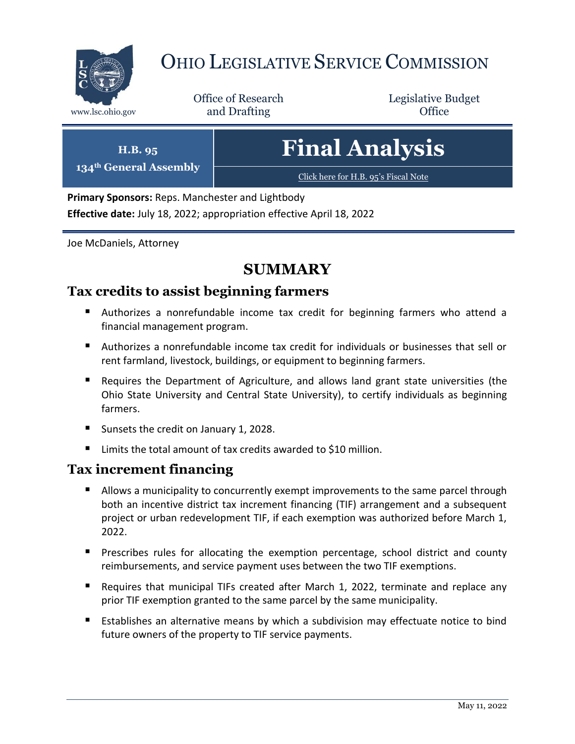

# OHIO LEGISLATIVE SERVICE COMMISSION

Office of Research www.lsc.ohio.gov **and Drafting Office** 

Legislative Budget

**H.B. 95 134th General Assembly** **Final Analysis**

[Click here for H.B. 95](https://www.legislature.ohio.gov/legislation/legislation-documents?id=GA134-HB-95)'s Fiscal Note

**Primary Sponsors:** Reps. Manchester and Lightbody **Effective date:** July 18, 2022; appropriation effective April 18, 2022

Joe McDaniels, Attorney

# **SUMMARY**

# **Tax credits to assist beginning farmers**

- Authorizes a nonrefundable income tax credit for beginning farmers who attend a financial management program.
- Authorizes a nonrefundable income tax credit for individuals or businesses that sell or rent farmland, livestock, buildings, or equipment to beginning farmers.
- Requires the Department of Agriculture, and allows land grant state universities (the Ohio State University and Central State University), to certify individuals as beginning farmers.
- Sunsets the credit on January 1, 2028.
- Limits the total amount of tax credits awarded to \$10 million.

### **Tax increment financing**

- Allows a municipality to concurrently exempt improvements to the same parcel through both an incentive district tax increment financing (TIF) arrangement and a subsequent project or urban redevelopment TIF, if each exemption was authorized before March 1, 2022.
- **Prescribes rules for allocating the exemption percentage, school district and county** reimbursements, and service payment uses between the two TIF exemptions.
- Requires that municipal TIFs created after March 1, 2022, terminate and replace any prior TIF exemption granted to the same parcel by the same municipality.
- Establishes an alternative means by which a subdivision may effectuate notice to bind future owners of the property to TIF service payments.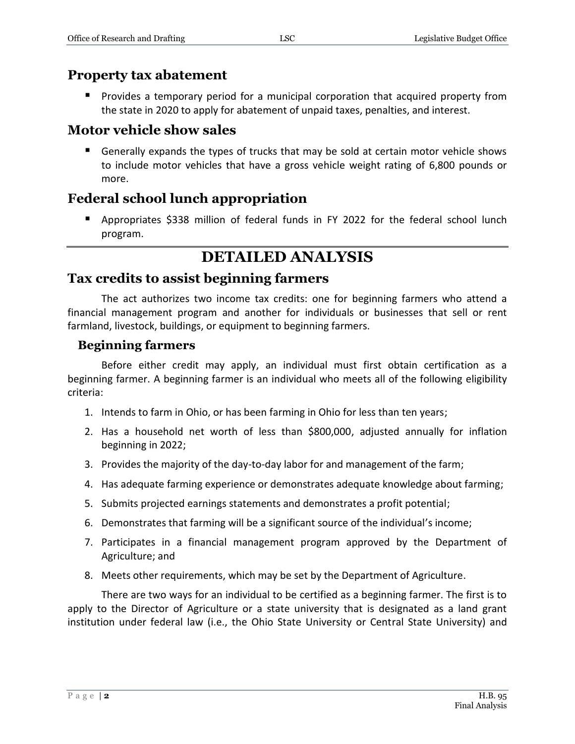# **Property tax abatement**

 Provides a temporary period for a municipal corporation that acquired property from the state in 2020 to apply for abatement of unpaid taxes, penalties, and interest.

# **Motor vehicle show sales**

 Generally expands the types of trucks that may be sold at certain motor vehicle shows to include motor vehicles that have a gross vehicle weight rating of 6,800 pounds or more.

# **Federal school lunch appropriation**

 Appropriates \$338 million of federal funds in FY 2022 for the federal school lunch program.

# **DETAILED ANALYSIS**

# **Tax credits to assist beginning farmers**

The act authorizes two income tax credits: one for beginning farmers who attend a financial management program and another for individuals or businesses that sell or rent farmland, livestock, buildings, or equipment to beginning farmers.

### **Beginning farmers**

Before either credit may apply, an individual must first obtain certification as a beginning farmer. A beginning farmer is an individual who meets all of the following eligibility criteria:

- 1. Intends to farm in Ohio, or has been farming in Ohio for less than ten years;
- 2. Has a household net worth of less than \$800,000, adjusted annually for inflation beginning in 2022;
- 3. Provides the majority of the day-to-day labor for and management of the farm;
- 4. Has adequate farming experience or demonstrates adequate knowledge about farming;
- 5. Submits projected earnings statements and demonstrates a profit potential;
- 6. Demonstrates that farming will be a significant source of the individual's income;
- 7. Participates in a financial management program approved by the Department of Agriculture; and
- 8. Meets other requirements, which may be set by the Department of Agriculture.

There are two ways for an individual to be certified as a beginning farmer. The first is to apply to the Director of Agriculture or a state university that is designated as a land grant institution under federal law (i.e., the Ohio State University or Central State University) and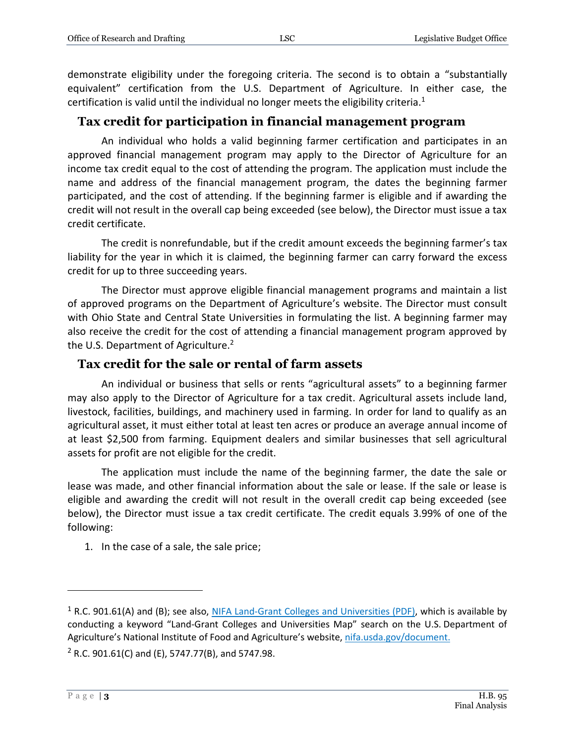demonstrate eligibility under the foregoing criteria. The second is to obtain a "substantially equivalent" certification from the U.S. Department of Agriculture. In either case, the certification is valid until the individual no longer meets the eligibility criteria.<sup>1</sup>

### **Tax credit for participation in financial management program**

An individual who holds a valid beginning farmer certification and participates in an approved financial management program may apply to the Director of Agriculture for an income tax credit equal to the cost of attending the program. The application must include the name and address of the financial management program, the dates the beginning farmer participated, and the cost of attending. If the beginning farmer is eligible and if awarding the credit will not result in the overall cap being exceeded (see below), the Director must issue a tax credit certificate.

The credit is nonrefundable, but if the credit amount exceeds the beginning farmer's tax liability for the year in which it is claimed, the beginning farmer can carry forward the excess credit for up to three succeeding years.

The Director must approve eligible financial management programs and maintain a list of approved programs on the Department of Agriculture's website. The Director must consult with Ohio State and Central State Universities in formulating the list. A beginning farmer may also receive the credit for the cost of attending a financial management program approved by the U.S. Department of Agriculture.<sup>2</sup>

#### **Tax credit for the sale or rental of farm assets**

An individual or business that sells or rents "agricultural assets" to a beginning farmer may also apply to the Director of Agriculture for a tax credit. Agricultural assets include land, livestock, facilities, buildings, and machinery used in farming. In order for land to qualify as an agricultural asset, it must either total at least ten acres or produce an average annual income of at least \$2,500 from farming. Equipment dealers and similar businesses that sell agricultural assets for profit are not eligible for the credit.

The application must include the name of the beginning farmer, the date the sale or lease was made, and other financial information about the sale or lease. If the sale or lease is eligible and awarding the credit will not result in the overall credit cap being exceeded (see below), the Director must issue a tax credit certificate. The credit equals 3.99% of one of the following:

1. In the case of a sale, the sale price;

<sup>&</sup>lt;sup>1</sup> R.C. 901.61(A) and (B); see also, [NIFA Land-Grant Colleges and Universities](https://nifa.usda.gov/sites/default/files/resource/LGU-Map-03-18-19.pdf) (PDF), which is available by conducting a keyword "Land-Grant Colleges and Universities Map" search on the U.S. Department of Agriculture's National Institute of Food and Agriculture's website, [nifa.usda.gov/document.](https://www.nifa.usda.gov/document)

 $2$  R.C. 901.61(C) and (E), 5747.77(B), and 5747.98.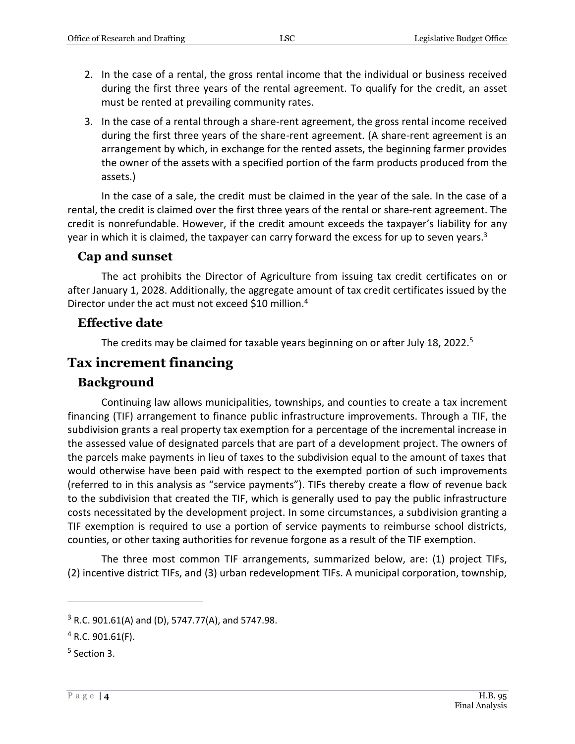- 2. In the case of a rental, the gross rental income that the individual or business received during the first three years of the rental agreement. To qualify for the credit, an asset must be rented at prevailing community rates.
- 3. In the case of a rental through a share-rent agreement, the gross rental income received during the first three years of the share-rent agreement. (A share-rent agreement is an arrangement by which, in exchange for the rented assets, the beginning farmer provides the owner of the assets with a specified portion of the farm products produced from the assets.)

In the case of a sale, the credit must be claimed in the year of the sale. In the case of a rental, the credit is claimed over the first three years of the rental or share-rent agreement. The credit is nonrefundable. However, if the credit amount exceeds the taxpayer's liability for any year in which it is claimed, the taxpayer can carry forward the excess for up to seven years. $3$ 

#### **Cap and sunset**

The act prohibits the Director of Agriculture from issuing tax credit certificates on or after January 1, 2028. Additionally, the aggregate amount of tax credit certificates issued by the Director under the act must not exceed \$10 million.<sup>4</sup>

#### **Effective date**

The credits may be claimed for taxable years beginning on or after July 18, 2022.<sup>5</sup>

### **Tax increment financing**

#### **Background**

Continuing law allows municipalities, townships, and counties to create a tax increment financing (TIF) arrangement to finance public infrastructure improvements. Through a TIF, the subdivision grants a real property tax exemption for a percentage of the incremental increase in the assessed value of designated parcels that are part of a development project. The owners of the parcels make payments in lieu of taxes to the subdivision equal to the amount of taxes that would otherwise have been paid with respect to the exempted portion of such improvements (referred to in this analysis as "service payments"). TIFs thereby create a flow of revenue back to the subdivision that created the TIF, which is generally used to pay the public infrastructure costs necessitated by the development project. In some circumstances, a subdivision granting a TIF exemption is required to use a portion of service payments to reimburse school districts, counties, or other taxing authorities for revenue forgone as a result of the TIF exemption.

The three most common TIF arrangements, summarized below, are: (1) project TIFs, (2) incentive district TIFs, and (3) urban redevelopment TIFs. A municipal corporation, township,

 $3$  R.C. 901.61(A) and (D), 5747.77(A), and 5747.98.

 $4$  R.C. 901.61(F).

<sup>5</sup> Section 3.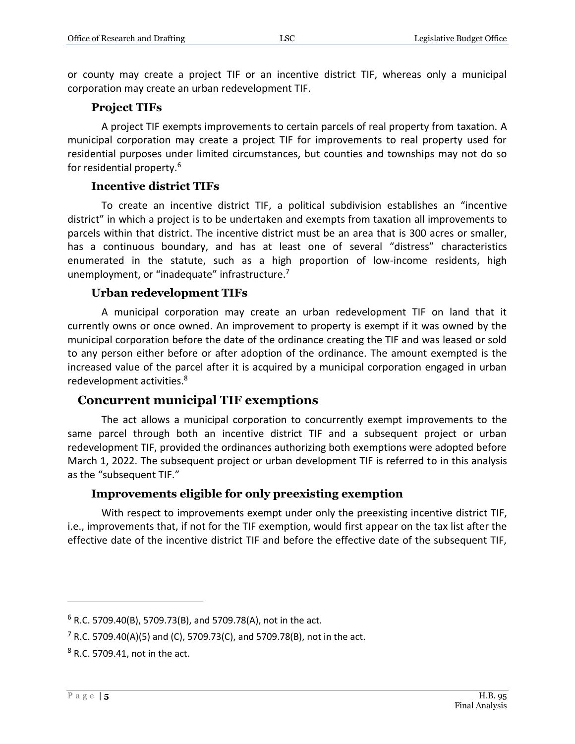or county may create a project TIF or an incentive district TIF, whereas only a municipal corporation may create an urban redevelopment TIF.

#### **Project TIFs**

A project TIF exempts improvements to certain parcels of real property from taxation. A municipal corporation may create a project TIF for improvements to real property used for residential purposes under limited circumstances, but counties and townships may not do so for residential property.<sup>6</sup>

#### **Incentive district TIFs**

To create an incentive district TIF, a political subdivision establishes an "incentive district" in which a project is to be undertaken and exempts from taxation all improvements to parcels within that district. The incentive district must be an area that is 300 acres or smaller, has a continuous boundary, and has at least one of several "distress" characteristics enumerated in the statute, such as a high proportion of low-income residents, high unemployment, or "inadequate" infrastructure.<sup>7</sup>

#### **Urban redevelopment TIFs**

A municipal corporation may create an urban redevelopment TIF on land that it currently owns or once owned. An improvement to property is exempt if it was owned by the municipal corporation before the date of the ordinance creating the TIF and was leased or sold to any person either before or after adoption of the ordinance. The amount exempted is the increased value of the parcel after it is acquired by a municipal corporation engaged in urban redevelopment activities.<sup>8</sup>

#### **Concurrent municipal TIF exemptions**

The act allows a municipal corporation to concurrently exempt improvements to the same parcel through both an incentive district TIF and a subsequent project or urban redevelopment TIF, provided the ordinances authorizing both exemptions were adopted before March 1, 2022. The subsequent project or urban development TIF is referred to in this analysis as the "subsequent TIF."

#### **Improvements eligible for only preexisting exemption**

With respect to improvements exempt under only the preexisting incentive district TIF, i.e., improvements that, if not for the TIF exemption, would first appear on the tax list after the effective date of the incentive district TIF and before the effective date of the subsequent TIF,

 $6$  R.C. 5709.40(B), 5709.73(B), and 5709.78(A), not in the act.

<sup>&</sup>lt;sup>7</sup> R.C. 5709.40(A)(5) and (C), 5709.73(C), and 5709.78(B), not in the act.

<sup>8</sup> R.C. 5709.41, not in the act.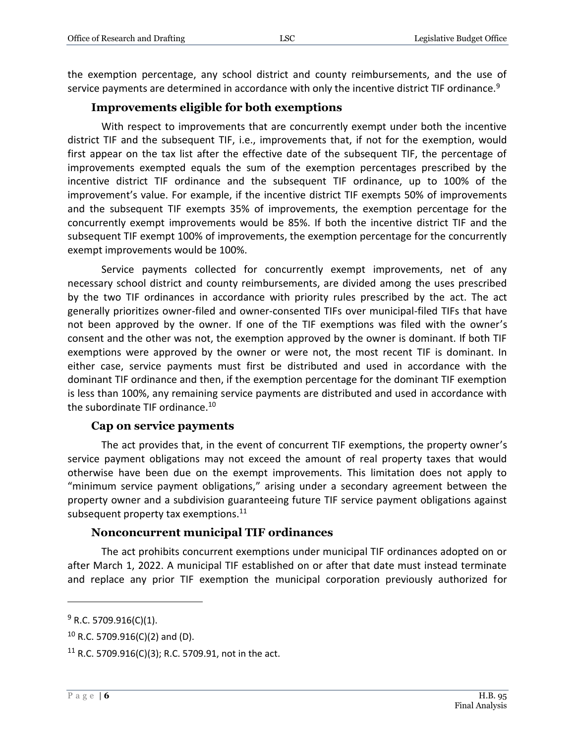the exemption percentage, any school district and county reimbursements, and the use of service payments are determined in accordance with only the incentive district TIF ordinance.<sup>9</sup>

#### **Improvements eligible for both exemptions**

With respect to improvements that are concurrently exempt under both the incentive district TIF and the subsequent TIF, i.e., improvements that, if not for the exemption, would first appear on the tax list after the effective date of the subsequent TIF, the percentage of improvements exempted equals the sum of the exemption percentages prescribed by the incentive district TIF ordinance and the subsequent TIF ordinance, up to 100% of the improvement's value. For example, if the incentive district TIF exempts 50% of improvements and the subsequent TIF exempts 35% of improvements, the exemption percentage for the concurrently exempt improvements would be 85%. If both the incentive district TIF and the subsequent TIF exempt 100% of improvements, the exemption percentage for the concurrently exempt improvements would be 100%.

Service payments collected for concurrently exempt improvements, net of any necessary school district and county reimbursements, are divided among the uses prescribed by the two TIF ordinances in accordance with priority rules prescribed by the act. The act generally prioritizes owner-filed and owner-consented TIFs over municipal-filed TIFs that have not been approved by the owner. If one of the TIF exemptions was filed with the owner's consent and the other was not, the exemption approved by the owner is dominant. If both TIF exemptions were approved by the owner or were not, the most recent TIF is dominant. In either case, service payments must first be distributed and used in accordance with the dominant TIF ordinance and then, if the exemption percentage for the dominant TIF exemption is less than 100%, any remaining service payments are distributed and used in accordance with the subordinate TIF ordinance.<sup>10</sup>

#### **Cap on service payments**

The act provides that, in the event of concurrent TIF exemptions, the property owner's service payment obligations may not exceed the amount of real property taxes that would otherwise have been due on the exempt improvements. This limitation does not apply to "minimum service payment obligations," arising under a secondary agreement between the property owner and a subdivision guaranteeing future TIF service payment obligations against subsequent property tax exemptions.<sup>11</sup>

#### **Nonconcurrent municipal TIF ordinances**

The act prohibits concurrent exemptions under municipal TIF ordinances adopted on or after March 1, 2022. A municipal TIF established on or after that date must instead terminate and replace any prior TIF exemption the municipal corporation previously authorized for

 $9$  R.C. 5709.916(C)(1).

 $10$  R.C. 5709.916(C)(2) and (D).

<sup>&</sup>lt;sup>11</sup> R.C. 5709.916(C)(3); R.C. 5709.91, not in the act.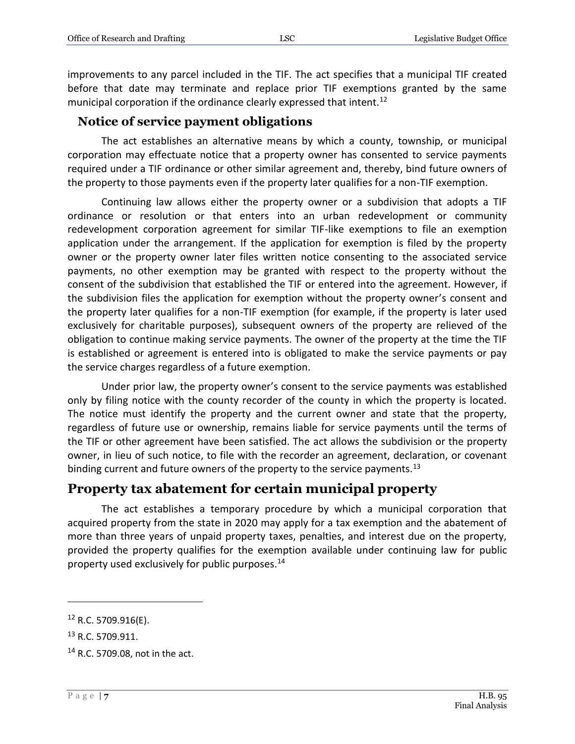improvements to any parcel included in the TIF. The act specifies that a municipal TIF created before that date may terminate and replace prior TIF exemptions granted by the same municipal corporation if the ordinance clearly expressed that intent.<sup>12</sup>

#### **Notice of service payment obligations**

The act establishes an alternative means by which a county, township, or municipal corporation may effectuate notice that a property owner has consented to service payments required under a TIF ordinance or other similar agreement and, thereby, bind future owners of the property to those payments even if the property later qualifies for a non-TIF exemption.

Continuing law allows either the property owner or a subdivision that adopts a TIF ordinance or resolution or that enters into an urban redevelopment or community redevelopment corporation agreement for similar TIF-like exemptions to file an exemption application under the arrangement. If the application for exemption is filed by the property owner or the property owner later files written notice consenting to the associated service payments, no other exemption may be granted with respect to the property without the consent of the subdivision that established the TIF or entered into the agreement. However, if the subdivision files the application for exemption without the property owner's consent and the property later qualifies for a non-TIF exemption (for example, if the property is later used exclusively for charitable purposes), subsequent owners of the property are relieved of the obligation to continue making service payments. The owner of the property at the time the TIF is established or agreement is entered into is obligated to make the service payments or pay the service charges regardless of a future exemption.

Under prior law, the property owner's consent to the service payments was established only by filing notice with the county recorder of the county in which the property is located. The notice must identify the property and the current owner and state that the property, regardless of future use or ownership, remains liable for service payments until the terms of the TIF or other agreement have been satisfied. The act allows the subdivision or the property owner, in lieu of such notice, to file with the recorder an agreement, declaration, or covenant binding current and future owners of the property to the service payments.<sup>13</sup>

# **Property tax abatement for certain municipal property**

The act establishes a temporary procedure by which a municipal corporation that acquired property from the state in 2020 may apply for a tax exemption and the abatement of more than three years of unpaid property taxes, penalties, and interest due on the property, provided the property qualifies for the exemption available under continuing law for public property used exclusively for public purposes.<sup>14</sup>

<sup>12</sup> R.C. 5709.916(E).

<sup>13</sup> R.C. 5709.911.

<sup>14</sup> R.C. 5709.08, not in the act.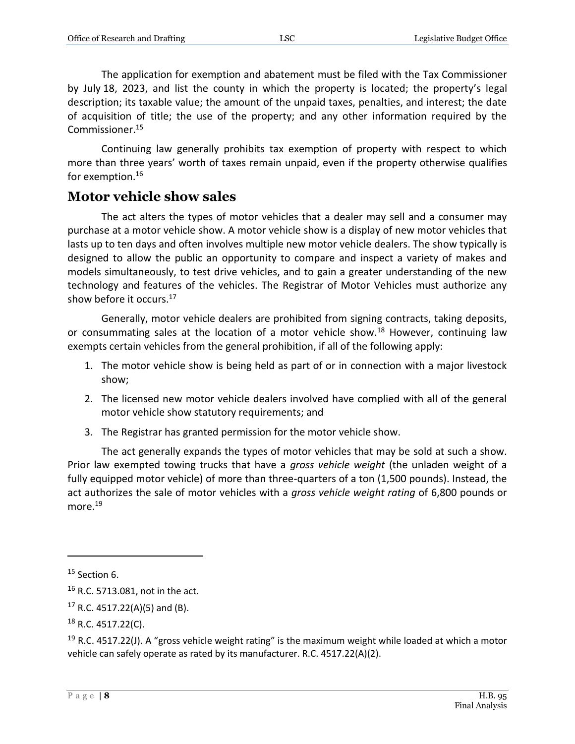The application for exemption and abatement must be filed with the Tax Commissioner by July 18, 2023, and list the county in which the property is located; the property's legal description; its taxable value; the amount of the unpaid taxes, penalties, and interest; the date of acquisition of title; the use of the property; and any other information required by the Commissioner.<sup>15</sup>

Continuing law generally prohibits tax exemption of property with respect to which more than three years' worth of taxes remain unpaid, even if the property otherwise qualifies for exemption.<sup>16</sup>

# **Motor vehicle show sales**

The act alters the types of motor vehicles that a dealer may sell and a consumer may purchase at a motor vehicle show. A motor vehicle show is a display of new motor vehicles that lasts up to ten days and often involves multiple new motor vehicle dealers. The show typically is designed to allow the public an opportunity to compare and inspect a variety of makes and models simultaneously, to test drive vehicles, and to gain a greater understanding of the new technology and features of the vehicles. The Registrar of Motor Vehicles must authorize any show before it occurs.<sup>17</sup>

Generally, motor vehicle dealers are prohibited from signing contracts, taking deposits, or consummating sales at the location of a motor vehicle show.<sup>18</sup> However, continuing law exempts certain vehicles from the general prohibition, if all of the following apply:

- 1. The motor vehicle show is being held as part of or in connection with a major livestock show;
- 2. The licensed new motor vehicle dealers involved have complied with all of the general motor vehicle show statutory requirements; and
- 3. The Registrar has granted permission for the motor vehicle show.

The act generally expands the types of motor vehicles that may be sold at such a show. Prior law exempted towing trucks that have a *gross vehicle weight* (the unladen weight of a fully equipped motor vehicle) of more than three-quarters of a ton (1,500 pounds). Instead, the act authorizes the sale of motor vehicles with a *gross vehicle weight rating* of 6,800 pounds or more.<sup>19</sup>

 $15$  Section 6.

<sup>16</sup> R.C. 5713.081, not in the act.

 $17$  R.C. 4517.22(A)(5) and (B).

 $18$  R.C. 4517.22(C).

<sup>&</sup>lt;sup>19</sup> R.C. 4517.22(J). A "gross vehicle weight rating" is the maximum weight while loaded at which a motor vehicle can safely operate as rated by its manufacturer. R.C. 4517.22(A)(2).